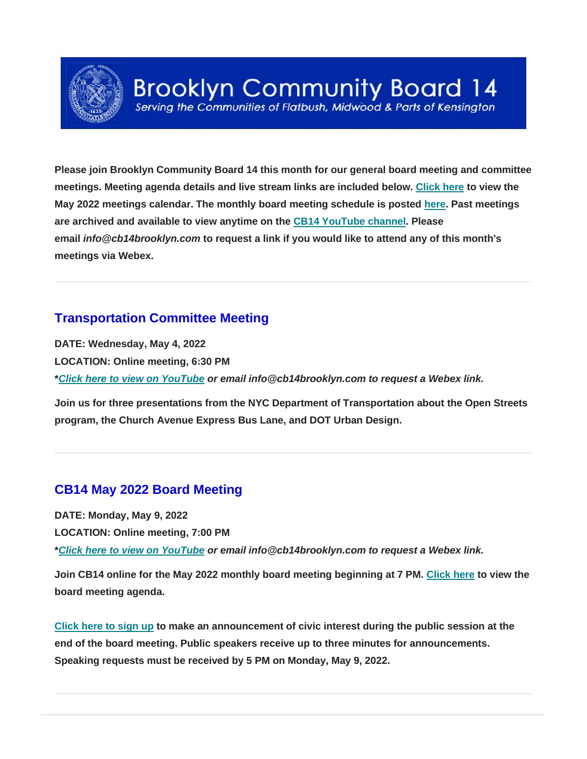

# **Brooklyn Community Board 14**

Serving the Communities of Flatbush, Midwood & Parts of Kensington

**Please join Brooklyn Community Board 14 this month for our general board meeting and committee meetings. Meeting agenda details and live stream links are included below. [Click here](https://www.cb14brooklyn.com/may-2022-meetings/) to view the May 2022 meetings calendar. The monthly board meeting schedule is posted [here.](https://www.cb14brooklyn.com/fy-2021-22-cb14-monthly-meeting-dates/) Past meetings are archived and available to view anytime on the [CB14 YouTube channel.](https://www.youtube.com/channel/UC_BAkpXTYFoKdHVRvswVgtg) Please email** *info@cb14brooklyn.com* **to request a link if you would like to attend any of this month's meetings via Webex.**

#### **Transportation Committee Meeting**

**DATE: Wednesday, May 4, 2022 LOCATION: Online meeting, 6:30 PM \****[Click here to view on YouTube](https://youtu.be/4iPG5C9lruA) or email info@cb14brooklyn.com to request a Webex link.*

**Join us for three presentations from the NYC Department of Transportation about the Open Streets program, the Church Avenue Express Bus Lane, and DOT Urban Design.**

## **CB14 May 2022 Board Meeting**

**DATE: Monday, May 9, 2022 LOCATION: Online meeting, 7:00 PM**

**\****[Click here to view on YouTube](https://youtu.be/cyeRzvYSVpw) or email info@cb14brooklyn.com to request a Webex link.*

**Join CB14 online for the May 2022 monthly board meeting beginning at 7 PM. [Click here](https://www.cb14brooklyn.com/may-2022-board-meeting/) to view the board meeting agenda.**

**[Click here to sign up](https://docs.google.com/forms/d/e/1FAIpQLSdAfwM0PiOhyeuD9r2SCWF4FSiEI8isqp3z1w2zBJCznq2lUQ/viewform) to make an announcement of civic interest during the public session at the end of the board meeting. Public speakers receive up to three minutes for announcements. Speaking requests must be received by 5 PM on Monday, May 9, 2022.**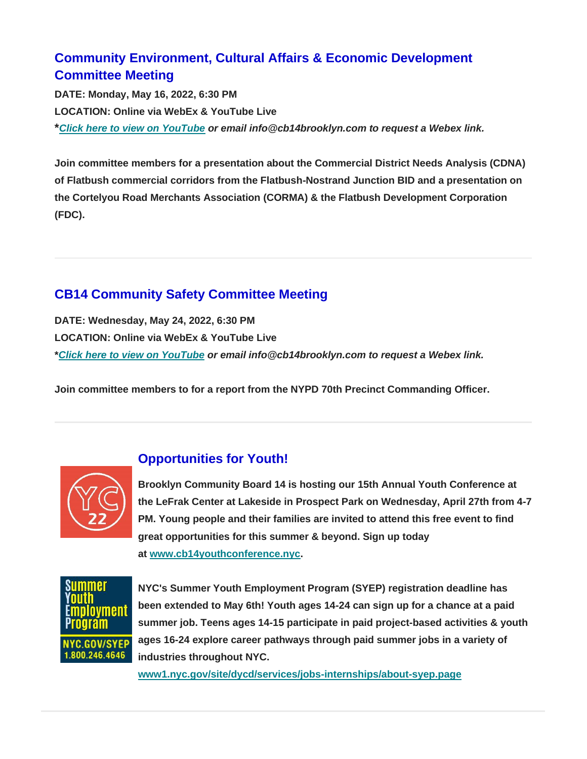## **Community Environment, Cultural Affairs & Economic Development Committee Meeting**

**DATE: Monday, May 16, 2022, 6:30 PM LOCATION: Online via WebEx & YouTube Live \****[Click here to view on YouTube](https://youtu.be/psZcAzPtqwk) or email info@cb14brooklyn.com to request a Webex link.*

**Join committee members for a presentation about the Commercial District Needs Analysis (CDNA) of Flatbush commercial corridors from the Flatbush-Nostrand Junction BID and a presentation on the Cortelyou Road Merchants Association (CORMA) & the Flatbush Development Corporation (FDC).**

## **CB14 Community Safety Committee Meeting**

**DATE: Wednesday, May 24, 2022, 6:30 PM LOCATION: Online via WebEx & YouTube Live \****[Click here to view on YouTube](https://www.youtube.com/watch?v=e2t8OWfT93A) or email info@cb14brooklyn.com to request a Webex link.*

**Join committee members to for a report from the NYPD 70th Precinct Commanding Officer.**



#### **Opportunities for Youth!**

**Brooklyn Community Board 14 is hosting our 15th Annual Youth Conference at the LeFrak Center at Lakeside in Prospect Park on Wednesday, April 27th from 4-7 PM. Young people and their families are invited to attend this free event to find great opportunities for this summer & beyond. Sign up today at [www.cb14youthconference.nyc.](https://www.cb14youthconference.nyc/)**



**NYC's Summer Youth Employment Program (SYEP) registration deadline has been extended to May 6th! Youth ages 14-24 can sign up for a chance at a paid summer job. Teens ages 14-15 participate in paid project-based activities & youth ages 16-24 explore career pathways through paid summer jobs in a variety of industries throughout NYC.** 

**[www1.nyc.gov/site/dycd/services/jobs-internships/about-syep.page](https://www1.nyc.gov/site/dycd/services/jobs-internships/about-syep.page)**